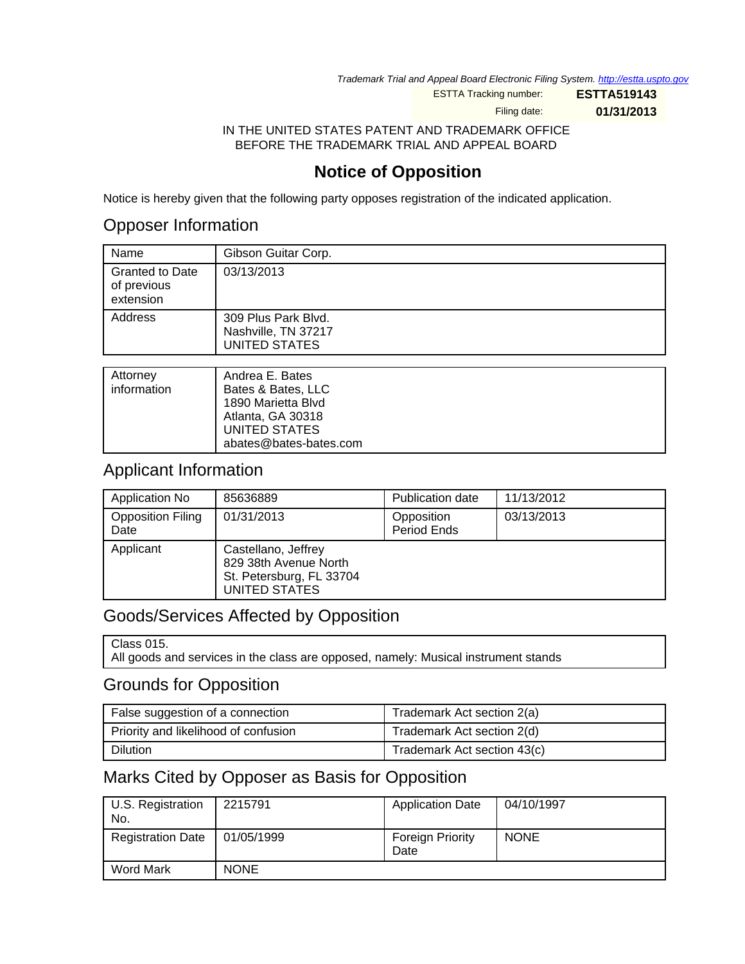Trademark Trial and Appeal Board Electronic Filing System. http://estta.uspto.gov

ESTTA Tracking number: **ESTTA519143**

Filing date: **01/31/2013**

IN THE UNITED STATES PATENT AND TRADEMARK OFFICE BEFORE THE TRADEMARK TRIAL AND APPEAL BOARD

## **Notice of Opposition**

Notice is hereby given that the following party opposes registration of the indicated application.

## Opposer Information

| Name                                               | Gibson Guitar Corp.                                                |
|----------------------------------------------------|--------------------------------------------------------------------|
| <b>Granted to Date</b><br>of previous<br>extension | 03/13/2013                                                         |
| Address                                            | 309 Plus Park Blvd.<br>Nashville, TN 37217<br><b>UNITED STATES</b> |
|                                                    |                                                                    |
| Attorney<br>information                            | Andrea E. Bates<br>Bates & Bates IIC                               |

| information | Bates & Bates, LLC<br>1890 Marietta Blvd<br>Atlanta, GA 30318<br>UNITED STATES<br>abates@bates-bates.com |
|-------------|----------------------------------------------------------------------------------------------------------|
|             |                                                                                                          |

### Applicant Information

| Application No                   | 85636889                                                                                         | <b>Publication date</b>   | 11/13/2012 |
|----------------------------------|--------------------------------------------------------------------------------------------------|---------------------------|------------|
| <b>Opposition Filing</b><br>Date | 01/31/2013                                                                                       | Opposition<br>Period Ends | 03/13/2013 |
| Applicant                        | Castellano, Jeffrey<br>829 38th Avenue North<br>St. Petersburg, FL 33704<br><b>UNITED STATES</b> |                           |            |

## Goods/Services Affected by Opposition

Class 015.

All goods and services in the class are opposed, namely: Musical instrument stands

### Grounds for Opposition

| False suggestion of a connection     | Trademark Act section 2(a)  |
|--------------------------------------|-----------------------------|
| Priority and likelihood of confusion | Trademark Act section 2(d)  |
| <b>Dilution</b>                      | Trademark Act section 43(c) |

## Marks Cited by Opposer as Basis for Opposition

| U.S. Registration<br>No. | 2215791     | <b>Application Date</b>         | 04/10/1997  |
|--------------------------|-------------|---------------------------------|-------------|
| <b>Registration Date</b> | 01/05/1999  | <b>Foreign Priority</b><br>Date | <b>NONE</b> |
| Word Mark                | <b>NONE</b> |                                 |             |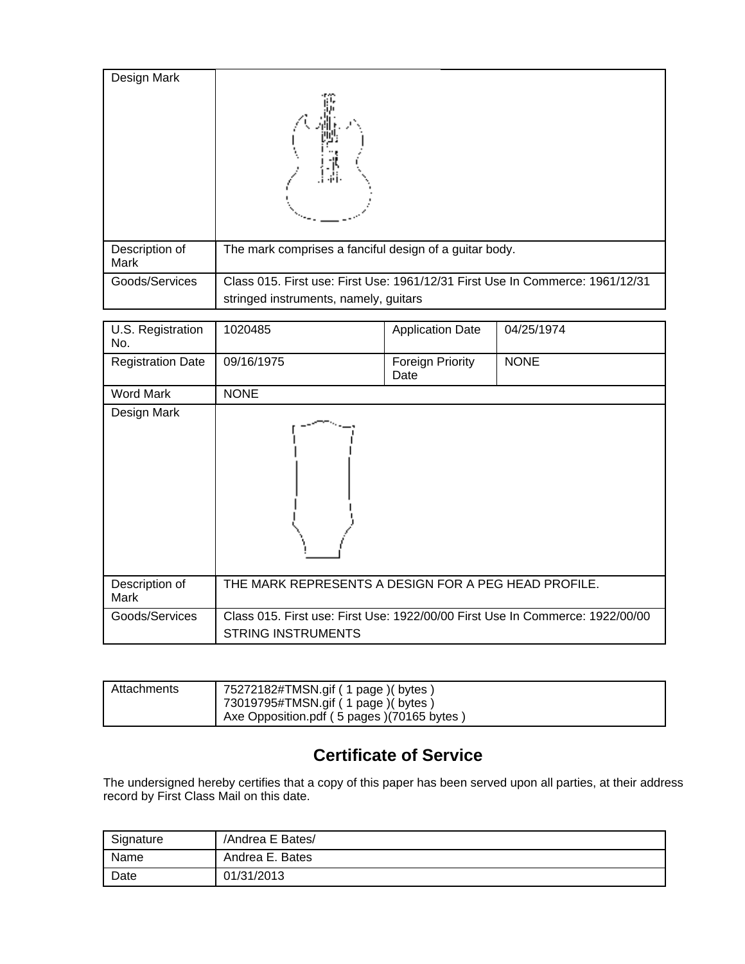| Design Mark            |                                                                                                                        |
|------------------------|------------------------------------------------------------------------------------------------------------------------|
| Description of<br>Mark | The mark comprises a fanciful design of a guitar body.                                                                 |
| Goods/Services         | Class 015. First use: First Use: 1961/12/31 First Use In Commerce: 1961/12/31<br>stringed instruments, namely, guitars |

| U.S. Registration<br>No. | 1020485                                                                                                    | <b>Application Date</b>  | 04/25/1974  |
|--------------------------|------------------------------------------------------------------------------------------------------------|--------------------------|-------------|
| <b>Registration Date</b> | 09/16/1975                                                                                                 | Foreign Priority<br>Date | <b>NONE</b> |
| <b>Word Mark</b>         | <b>NONE</b>                                                                                                |                          |             |
| Design Mark              |                                                                                                            |                          |             |
| Description of<br>Mark   | THE MARK REPRESENTS A DESIGN FOR A PEG HEAD PROFILE.                                                       |                          |             |
| Goods/Services           | Class 015. First use: First Use: 1922/00/00 First Use In Commerce: 1922/00/00<br><b>STRING INSTRUMENTS</b> |                          |             |

| Attachments | 75272182#TMSN.gif (1 page) (bytes)         |
|-------------|--------------------------------------------|
|             | 73019795#TMSN.gif (1 page) (bytes)         |
|             | Axe Opposition.pdf (5 pages) (70165 bytes) |

# **Certificate of Service**

The undersigned hereby certifies that a copy of this paper has been served upon all parties, at their address record by First Class Mail on this date.

| Signature | /Andrea E Bates/ |
|-----------|------------------|
| Name      | Andrea E. Bates  |
| Date      | 01/31/2013       |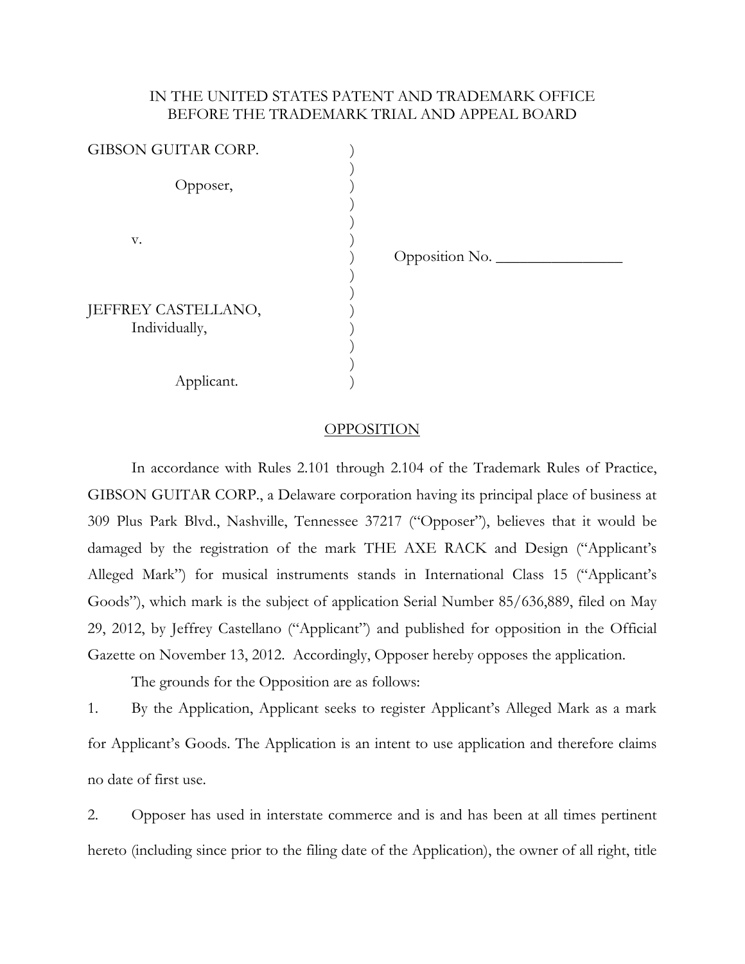### IN THE UNITED STATES PATENT AND TRADEMARK OFFICE BEFORE THE TRADEMARK TRIAL AND APPEAL BOARD

| GIBSON GUITAR CORP.                  |                |
|--------------------------------------|----------------|
| Opposer,                             |                |
| V.                                   | Opposition No. |
| JEFFREY CASTELLANO,<br>Individually, |                |
| Applicant.                           |                |

#### OPPOSITION

In accordance with Rules 2.101 through 2.104 of the Trademark Rules of Practice, GIBSON GUITAR CORP., a Delaware corporation having its principal place of business at 309 Plus Park Blvd., Nashville, Tennessee 37217 ("Opposer"), believes that it would be damaged by the registration of the mark THE AXE RACK and Design ("Applicant's Alleged Mark") for musical instruments stands in International Class 15 ("Applicant's Goods"), which mark is the subject of application Serial Number 85/636,889, filed on May 29, 2012, by Jeffrey Castellano ("Applicant") and published for opposition in the Official Gazette on November 13, 2012. Accordingly, Opposer hereby opposes the application.

The grounds for the Opposition are as follows:

1. By the Application, Applicant seeks to register Applicant's Alleged Mark as a mark for Applicant's Goods. The Application is an intent to use application and therefore claims no date of first use.

2. Opposer has used in interstate commerce and is and has been at all times pertinent hereto (including since prior to the filing date of the Application), the owner of all right, title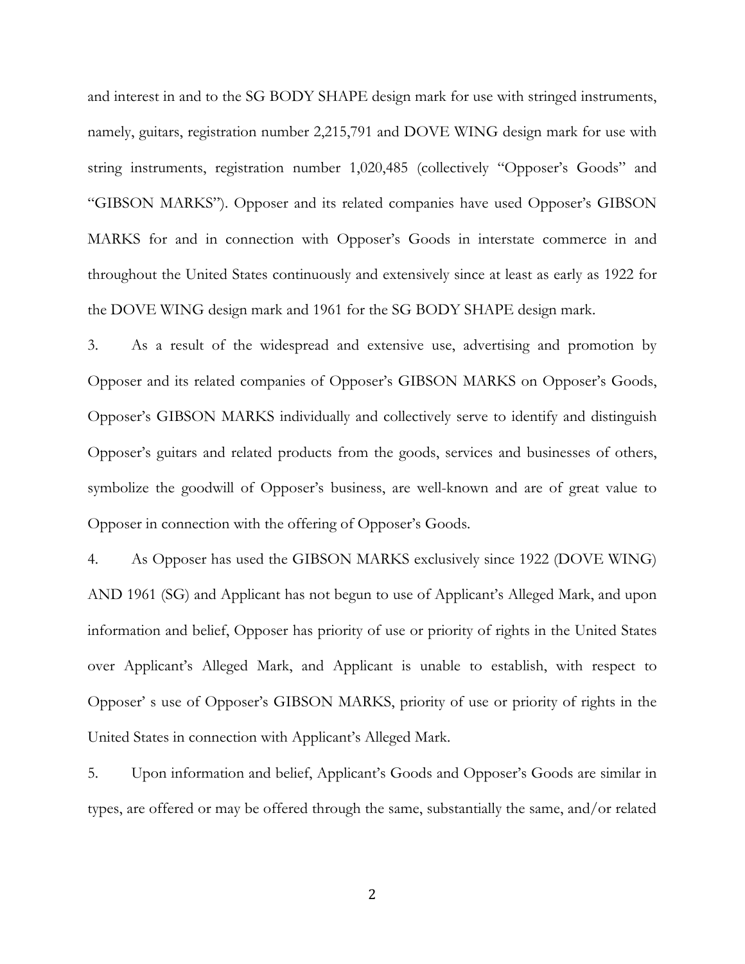and interest in and to the SG BODY SHAPE design mark for use with stringed instruments, namely, guitars, registration number 2,215,791 and DOVE WING design mark for use with string instruments, registration number 1,020,485 (collectively "Opposer's Goods" and "GIBSON MARKS"). Opposer and its related companies have used Opposer's GIBSON MARKS for and in connection with Opposer's Goods in interstate commerce in and throughout the United States continuously and extensively since at least as early as 1922 for the DOVE WING design mark and 1961 for the SG BODY SHAPE design mark.

3. As a result of the widespread and extensive use, advertising and promotion by Opposer and its related companies of Opposer's GIBSON MARKS on Opposer's Goods, Opposer's GIBSON MARKS individually and collectively serve to identify and distinguish Opposer's guitars and related products from the goods, services and businesses of others, symbolize the goodwill of Opposer's business, are well-known and are of great value to Opposer in connection with the offering of Opposer's Goods.

4. As Opposer has used the GIBSON MARKS exclusively since 1922 (DOVE WING) AND 1961 (SG) and Applicant has not begun to use of Applicant's Alleged Mark, and upon information and belief, Opposer has priority of use or priority of rights in the United States over Applicant's Alleged Mark, and Applicant is unable to establish, with respect to Opposer' s use of Opposer's GIBSON MARKS, priority of use or priority of rights in the United States in connection with Applicant's Alleged Mark.

5. Upon information and belief, Applicant's Goods and Opposer's Goods are similar in types, are offered or may be offered through the same, substantially the same, and/or related

2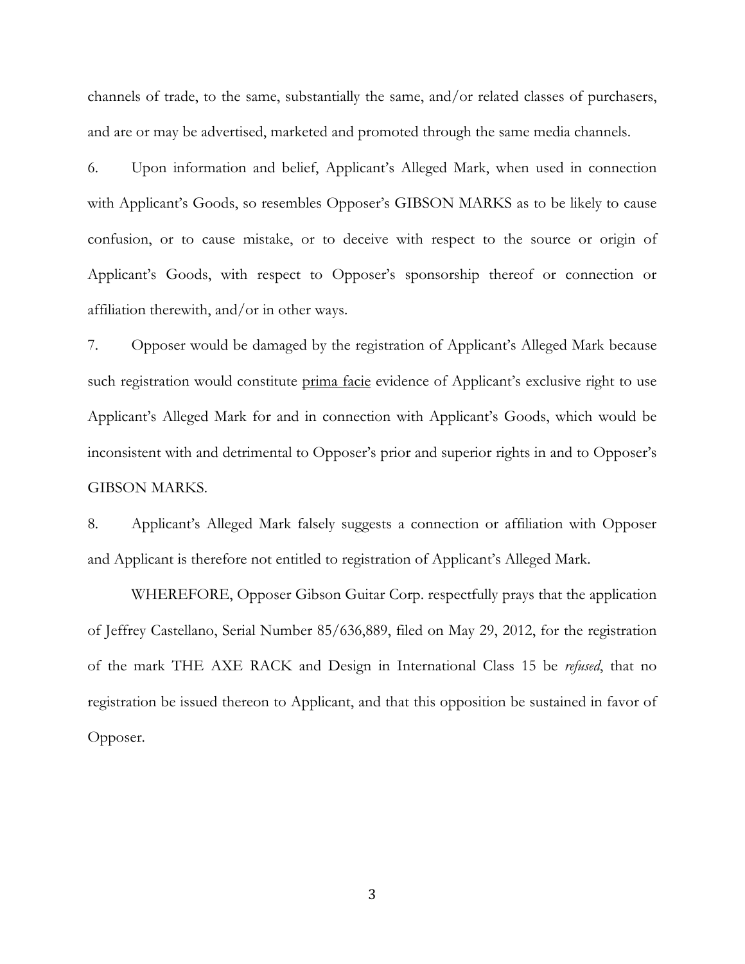channels of trade, to the same, substantially the same, and/or related classes of purchasers, and are or may be advertised, marketed and promoted through the same media channels.

6. Upon information and belief, Applicant's Alleged Mark, when used in connection with Applicant's Goods, so resembles Opposer's GIBSON MARKS as to be likely to cause confusion, or to cause mistake, or to deceive with respect to the source or origin of Applicant's Goods, with respect to Opposer's sponsorship thereof or connection or affiliation therewith, and/or in other ways.

7. Opposer would be damaged by the registration of Applicant's Alleged Mark because such registration would constitute prima facie evidence of Applicant's exclusive right to use Applicant's Alleged Mark for and in connection with Applicant's Goods, which would be inconsistent with and detrimental to Opposer's prior and superior rights in and to Opposer's GIBSON MARKS.

8. Applicant's Alleged Mark falsely suggests a connection or affiliation with Opposer and Applicant is therefore not entitled to registration of Applicant's Alleged Mark.

WHEREFORE, Opposer Gibson Guitar Corp. respectfully prays that the application of Jeffrey Castellano, Serial Number 85/636,889, filed on May 29, 2012, for the registration of the mark THE AXE RACK and Design in International Class 15 be *refused*, that no registration be issued thereon to Applicant, and that this opposition be sustained in favor of Opposer.

3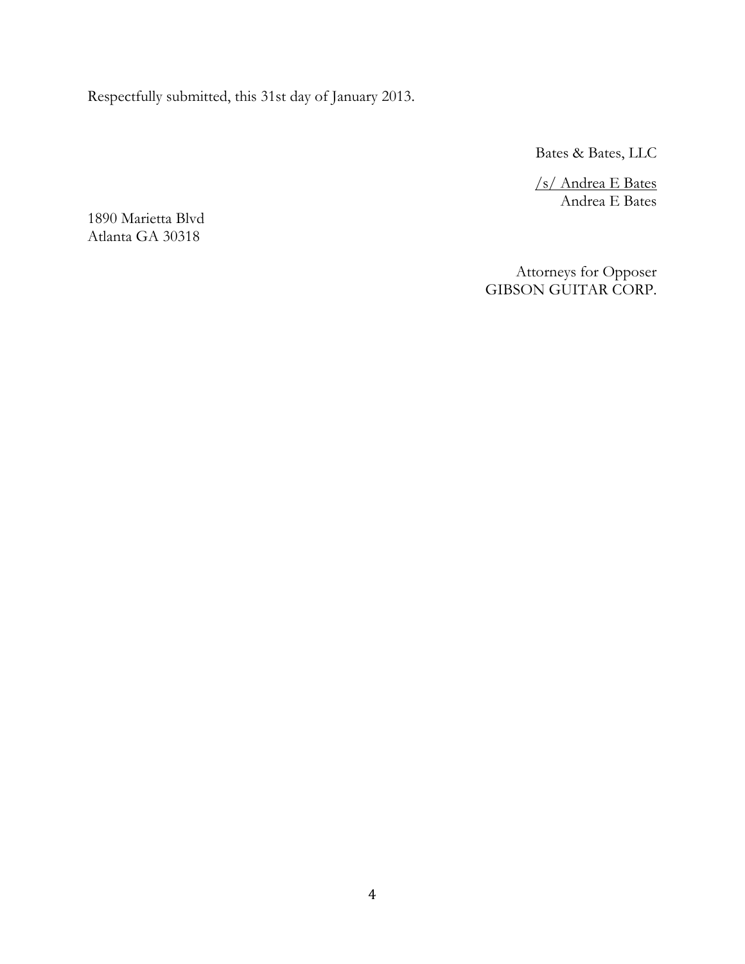Respectfully submitted, this 31st day of January 2013.

Bates & Bates, LLC

/s/ Andrea E Bates Andrea E Bates

1890 Marietta Blvd Atlanta GA 30318

> Attorneys for Opposer GIBSON GUITAR CORP.